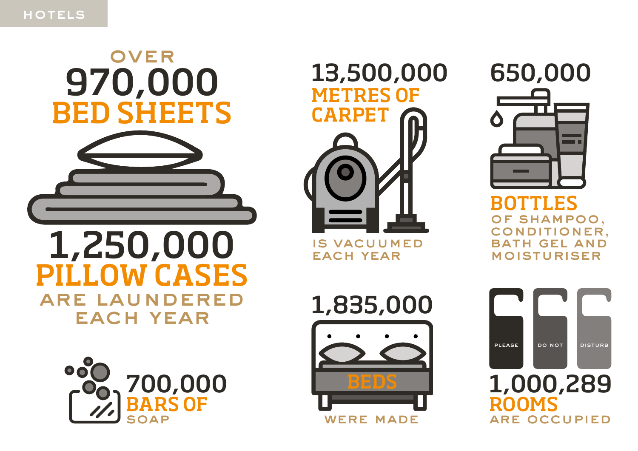# 970,000 BED SHEETS **OVER**

## 1,250,000 PILLOW CASES are laundered EACH YEAR





is vacuumed EACH YEAR

650,000

BOTTLES of shampoo, conditioner, RATH GEL AND **MOISTURISER** 



1,835,000

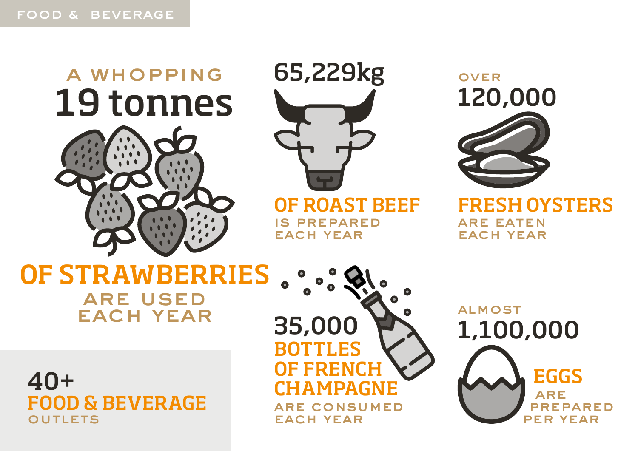## 19 tonnes A whopping





OF ROAST BEEF is prepared EACH YEAR

120,000 **OVER** 

FRESH OYSTERS are eaten EACH YEAR

## OF STRAWBERRIES are used EACH YEAR

40+ FOOD & BEVERAGE



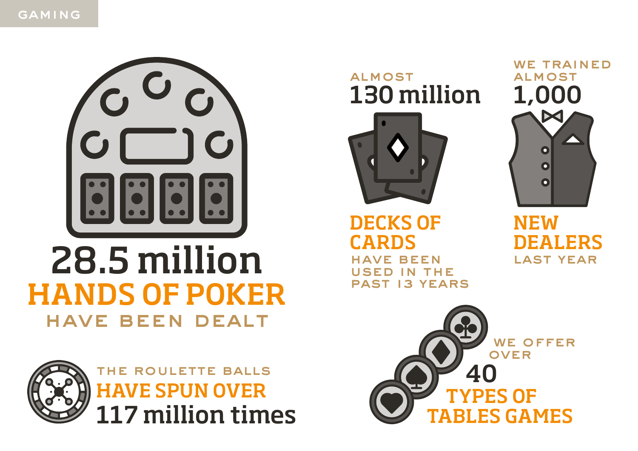



## 28.5 million HANDS OF POKER have been dealt



117 million times HAVE SPUN OVER TYPES OF The Roulette balls

130 million **ALMOST** 



DECKS OF CARD have been SED IN THE past 13 years

WE TRAINED **ALMOST** 1,000  $\bullet$  $\bullet$  $\bullet$ 

NEW DEALERS last year

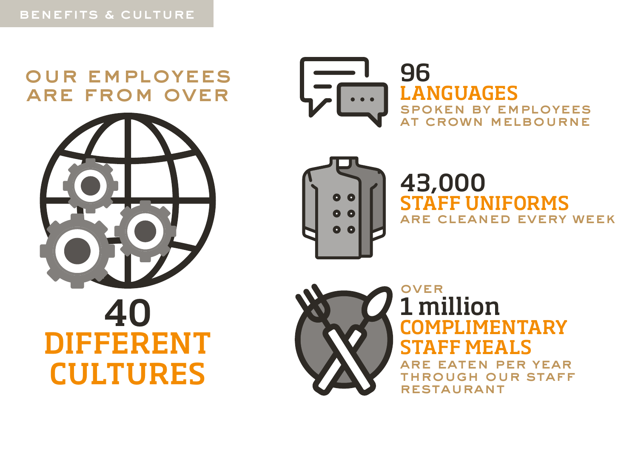### Our employees are from over







43,000 STAFF UNIFORMS are cleaned every week



#### 1 million COMPLIMENTARY STAFF MEALS **OVER**

ATEN PER YEAR through our Staff **RESTAURANT**